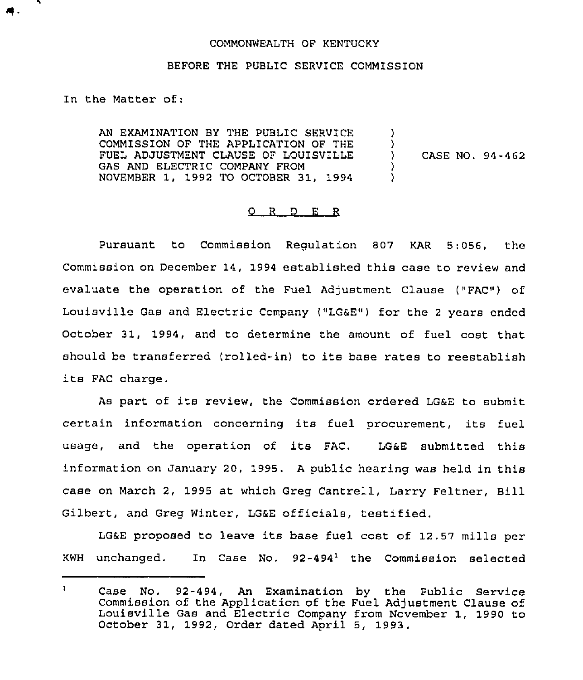## COMMONWEALTH OF KENTUCKY

## BEFORE THE PUBLIC SERVICE COMMISSION

In the Matter of;

AN EXAMINATION BY THE PUBLIC SERVICE COMMISSION OF THE APPLICATION OF THE FUEL ADJUSTMENT CLAUSE OF LOUISVILLE GAS AND ELECTRIC COMPANY FROM NOVEMBER 1, 1992 TO OCTOBER 31, 1994 ) )<br>) ) CASE NO. 94-462 ) )

## $Q$  R D E R

Pursuant to Commission Regulation 807 KAR 5:056, the Commission on December 14, 1994 established this case to review and evaluate the operation of the Fuel Adjustment Clause ("FAC") of Louisville Gas and Electric Company ("LG&E") for the <sup>2</sup> years ended October 31, 1994, and to determine the amount of fuel cost that should be transferred (rolled-in) to its base rates to reestablish its FAC charge.

As part of its review, the Commission ordered LG&E to submit certain information concerning its fuel procurement, its fuel usage, and the operation of its FAC. LG&E submitted this information on January 20, 1995. <sup>A</sup> public hearing was held in this case on March 2, 1995 at which Greg Cantrell, Larry Feltner, Bill Gilbert, and Greg Winter, LG&E officials, testified.

LG&E proposed to leave its base fuel cost of 12.57 mills per KWH unchanged. In Case No.  $92-494^{\frac{1}{2}}$  the Commission selected

 $\mathbf{1}$ Case No. 92-494, An Examination by the Public Service Commission of the Application of the Fuel Adjustment Clause of Commission of the Application of the Fuel Adjustment Clause of<br>Louisville Gas and Electric Company from November 1, 1990 to October 31, 1992, Order dated April 5, 1993.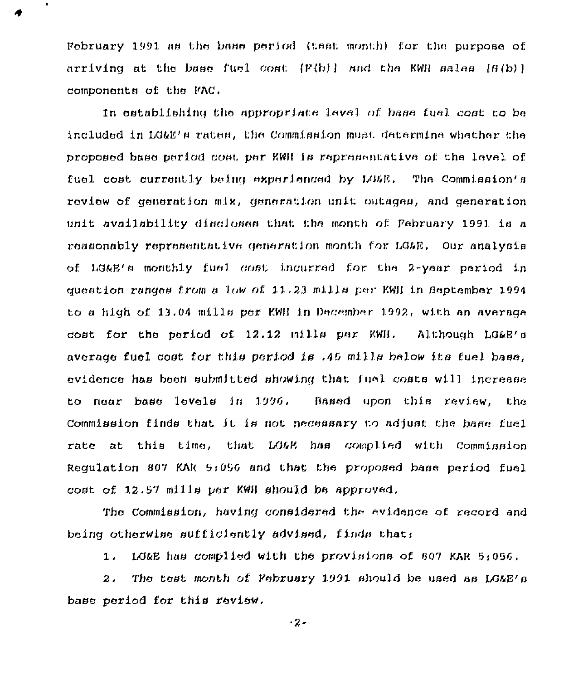February 1991 as the base pariod (test month) for the purpose of  $\arrivinq$  at the bage fuel cost  $\{F(b)\}$  and the KWH sales  $\{B(b)\}$ components of the FAC.

 $\bullet$ 

In establishing the appropriate level of base fuel cost to be included in LG&E's rates. the Commission must determine whether the proposed base period cost per KWH is representative of the level of fuel cost currently being experienced by LG&E. The Commission's review of generation mix, generation unit outages, and generation unit availability discloses that the month of Pebruary 1991 is a reasonably representative generation month for LGAE, Our analysis of LG&E's monthly fuel cost incurred for the 2-year period in question ranges from a low of 11.23 mills per KWH in Beptember 1994 to a high of 13.04 mills per KWH in December 1992, with an average cost for the period of 12.12 mills per KWH. Although LG&E's average fuel cost for this period is .45 mills below its fuel base. evidence has been submitted showing that fuel costs will increase to near base levels in 1996. Based upon this review, the Commission finds that it is not necessary to adjust the base fuel rate at this time, that LG&R has complied with Commission Requlation 807 KAR 5:056 and that the proposed base period fuel cost of 12.57 mills per KWH should be approved.

The Commission, having considered the evidence of record and being otherwise sufficiently advised, finds that:

LG&E has complied with the provisions of 807 KAR 5:056.  $1.$ 

The test month of February 1991 should be used as LG&E's  $\overline{z}$ . base period for this review.

 $-2 -$